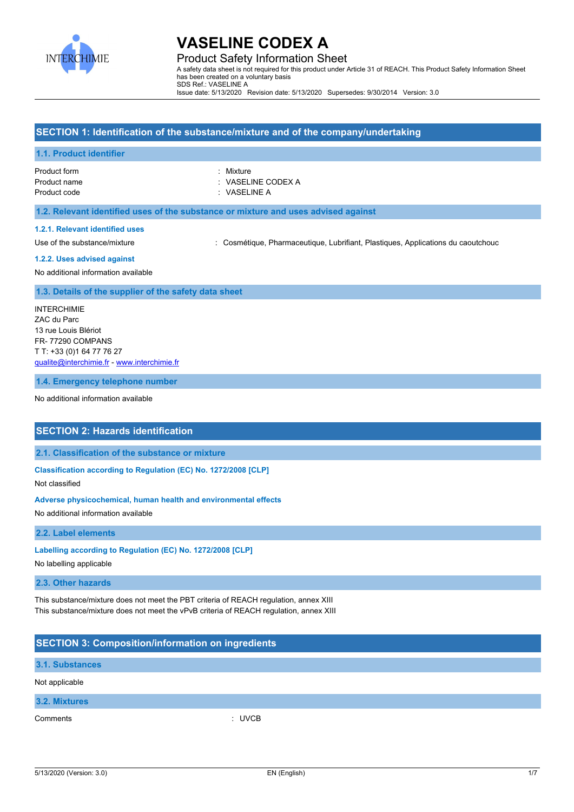

Product Safety Information Sheet A safety data sheet is not required for this product under Article 31 of REACH. This Product Safety Information Sheet has been created on a voluntary basis SDS Ref.: VASELINE A Issue date: 5/13/2020 Revision date: 5/13/2020 Supersedes: 9/30/2014 Version: 3.0

## **SECTION 1: Identification of the substance/mixture and of the company/undertaking**

#### **1.1. Product identifier**

Product form **: Mixture** Product code : VASELINE A

Product name : VASELINE CODEX A

#### **1.2. Relevant identified uses of the substance or mixture and uses advised against**

#### **1.2.1. Relevant identified uses**

Use of the substance/mixture : Cosmétique, Pharmaceutique, Lubrifiant, Plastiques, Applications du caoutchouc

#### **1.2.2. Uses advised against**

No additional information available

#### **1.3. Details of the supplier of the safety data sheet**

INTERCHIMIE ZAC du Parc 13 rue Louis Blériot FR- 77290 COMPANS T T: +33 (0)1 64 77 76 27 [qualite@interchimie.fr](mailto:qualite@interchimie.fr) - <www.interchimie.fr>

**1.4. Emergency telephone number**

No additional information available

### **SECTION 2: Hazards identification**

#### **2.1. Classification of the substance or mixture**

**Classification according to Regulation (EC) No. 1272/2008 [CLP]**

Not classified

#### **Adverse physicochemical, human health and environmental effects**

No additional information available

#### **2.2. Label elements**

#### **Labelling according to Regulation (EC) No. 1272/2008 [CLP]**

No labelling applicable

#### **2.3. Other hazards**

This substance/mixture does not meet the PBT criteria of REACH regulation, annex XIII This substance/mixture does not meet the vPvB criteria of REACH regulation, annex XIII

## **SECTION 3: Composition/information on ingredients**

#### **3.1. Substances**

### Not applicable

|  | 3.2. Mixtures |  |
|--|---------------|--|
|  |               |  |
|  |               |  |

Comments : UVCB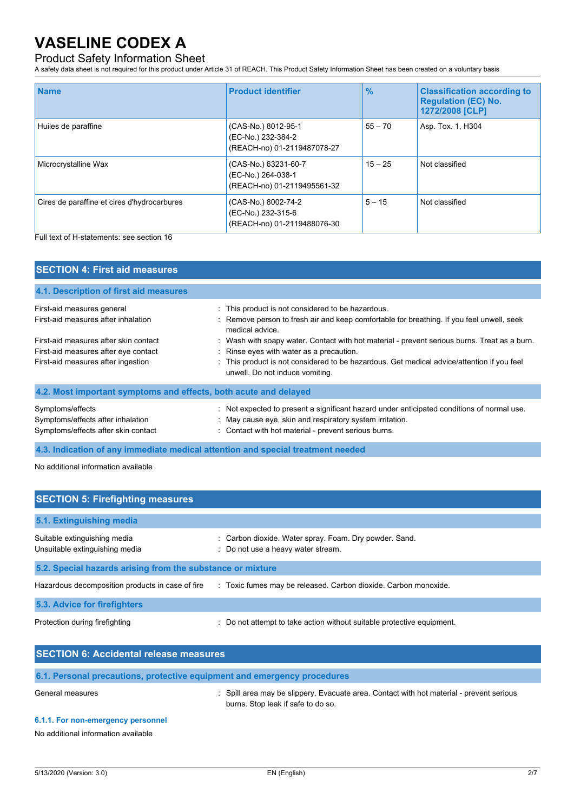## Product Safety Information Sheet

A safety data sheet is not required for this product under Article 31 of REACH. This Product Safety Information Sheet has been created on a voluntary basis

| <b>Name</b>                                 | <b>Product identifier</b>                                                 | $\frac{9}{6}$ | <b>Classification according to</b><br><b>Regulation (EC) No.</b><br>1272/2008 [CLP] |
|---------------------------------------------|---------------------------------------------------------------------------|---------------|-------------------------------------------------------------------------------------|
| Huiles de paraffine                         | (CAS-No.) 8012-95-1<br>(EC-No.) 232-384-2<br>(REACH-no) 01-2119487078-27  | $55 - 70$     | Asp. Tox. 1, H304                                                                   |
| Microcrystalline Wax                        | (CAS-No.) 63231-60-7<br>(EC-No.) 264-038-1<br>(REACH-no) 01-2119495561-32 | $15 - 25$     | Not classified                                                                      |
| Cires de paraffine et cires d'hydrocarbures | (CAS-No.) 8002-74-2<br>(EC-No.) 232-315-6<br>(REACH-no) 01-2119488076-30  | $5 - 15$      | Not classified                                                                      |

Full text of H-statements: see section 16

| <b>SECTION 4: First aid measures</b>                                                                                |                                                                                                                                                                                                                                                                           |  |
|---------------------------------------------------------------------------------------------------------------------|---------------------------------------------------------------------------------------------------------------------------------------------------------------------------------------------------------------------------------------------------------------------------|--|
| 4.1. Description of first aid measures                                                                              |                                                                                                                                                                                                                                                                           |  |
| First-aid measures general<br>First-aid measures after inhalation                                                   | : This product is not considered to be hazardous.<br>: Remove person to fresh air and keep comfortable for breathing. If you feel unwell, seek<br>medical advice.                                                                                                         |  |
| First-aid measures after skin contact<br>First-aid measures after eye contact<br>First-aid measures after ingestion | : Wash with soapy water. Contact with hot material - prevent serious burns. Treat as a burn.<br>: Rinse eyes with water as a precaution.<br>: This product is not considered to be hazardous. Get medical advice/attention if you feel<br>unwell. Do not induce vomiting. |  |
| 4.2. Most important symptoms and effects, both acute and delayed                                                    |                                                                                                                                                                                                                                                                           |  |
| Symptoms/effects<br>Symptoms/effects after inhalation<br>Symptoms/effects after skin contact                        | : Not expected to present a significant hazard under anticipated conditions of normal use.<br>May cause eye, skin and respiratory system irritation.<br>: Contact with hot material - prevent serious burns.                                                              |  |
| 4.3. Indication of any immediate medical attention and special treatment needed                                     |                                                                                                                                                                                                                                                                           |  |

No additional information available

| <b>SECTION 5: Firefighting measures</b>                        |                                                                                              |  |
|----------------------------------------------------------------|----------------------------------------------------------------------------------------------|--|
| 5.1. Extinguishing media                                       |                                                                                              |  |
| Suitable extinguishing media<br>Unsuitable extinguishing media | : Carbon dioxide. Water spray. Foam. Dry powder. Sand.<br>: Do not use a heavy water stream. |  |
| 5.2. Special hazards arising from the substance or mixture     |                                                                                              |  |
| Hazardous decomposition products in case of fire               | : Toxic fumes may be released. Carbon dioxide. Carbon monoxide.                              |  |
| 5.3. Advice for firefighters                                   |                                                                                              |  |
| Protection during firefighting                                 | : Do not attempt to take action without suitable protective equipment.                       |  |

| <b>SECTION 6: Accidental release measures</b> |                                                                                                                              |  |
|-----------------------------------------------|------------------------------------------------------------------------------------------------------------------------------|--|
|                                               | 6.1. Personal precautions, protective equipment and emergency procedures                                                     |  |
| General measures                              | Spill area may be slippery. Evacuate area. Contact with hot material - prevent serious<br>burns. Stop leak if safe to do so. |  |

### **6.1.1. For non-emergency personnel**

No additional information available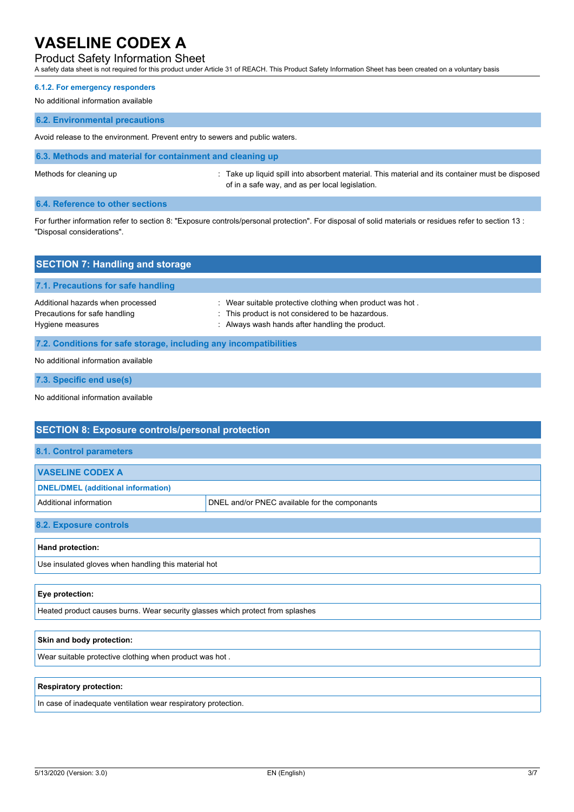## Product Safety Information Sheet

A safety data sheet is not required for this product under Article 31 of REACH. This Product Safety Information Sheet has been created on a voluntary basis

#### **6.1.2. For emergency responders**

No additional information available

#### **6.2. Environmental precautions**

Avoid release to the environment. Prevent entry to sewers and public waters.

**6.3. Methods and material for containment and cleaning up**

Methods for cleaning up : Take up liquid spill into absorbent material. This material and its container must be disposed of in a safe way, and as per local legislation.

### **6.4. Reference to other sections**

For further information refer to section 8: "Exposure controls/personal protection". For disposal of solid materials or residues refer to section 13 : "Disposal considerations".

| <b>SECTION 7: Handling and storage</b>                                                 |                                                                                                                                                                   |  |
|----------------------------------------------------------------------------------------|-------------------------------------------------------------------------------------------------------------------------------------------------------------------|--|
| 7.1. Precautions for safe handling                                                     |                                                                                                                                                                   |  |
| Additional hazards when processed<br>Precautions for safe handling<br>Hygiene measures | : Wear suitable protective clothing when product was hot.<br>: This product is not considered to be hazardous.<br>: Always wash hands after handling the product. |  |
| 7.2. Conditions for safe storage, including any incompatibilities                      |                                                                                                                                                                   |  |
| No additional information available                                                    |                                                                                                                                                                   |  |

**7.3. Specific end use(s)**

No additional information available

| <b>SECTION 8: Exposure controls/personal protection</b>                        |                                               |  |  |
|--------------------------------------------------------------------------------|-----------------------------------------------|--|--|
| <b>8.1. Control parameters</b>                                                 |                                               |  |  |
| <b>VASELINE CODEX A</b>                                                        |                                               |  |  |
| <b>DNEL/DMEL</b> (additional information)                                      |                                               |  |  |
| Additional information                                                         | DNEL and/or PNEC available for the componants |  |  |
| 8.2. Exposure controls                                                         |                                               |  |  |
| Hand protection:                                                               |                                               |  |  |
| Use insulated gloves when handling this material hot                           |                                               |  |  |
|                                                                                |                                               |  |  |
| Eye protection:                                                                |                                               |  |  |
| Heated product causes burns. Wear security glasses which protect from splashes |                                               |  |  |

## **Skin and body protection:**

Wear suitable protective clothing when product was hot .

#### **Respiratory protection:**

In case of inadequate ventilation wear respiratory protection.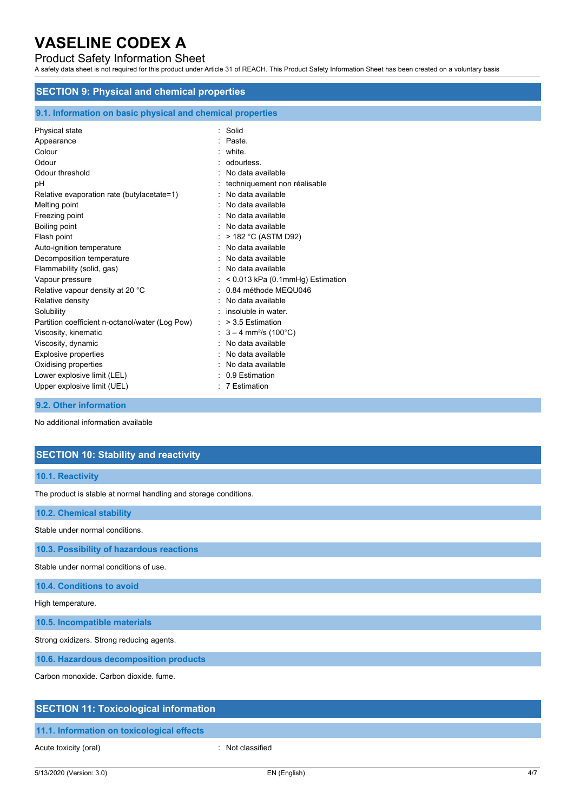## Product Safety Information Sheet

A safety data sheet is not required for this product under Article 31 of REACH. This Product Safety Information Sheet has been created on a voluntary basis

## **SECTION 9: Physical and chemical properties**

| 9.1. Information on basic physical and chemical properties                                                                                                                                                                                                                                                                                                                |                                                                                                                                                                                                                                                                                                                                                                                                        |  |
|---------------------------------------------------------------------------------------------------------------------------------------------------------------------------------------------------------------------------------------------------------------------------------------------------------------------------------------------------------------------------|--------------------------------------------------------------------------------------------------------------------------------------------------------------------------------------------------------------------------------------------------------------------------------------------------------------------------------------------------------------------------------------------------------|--|
| Physical state<br>Appearance<br>Colour<br>Odour<br>Odour threshold<br>pH<br>Relative evaporation rate (butylacetate=1)<br>Melting point<br>Freezing point<br>Boiling point<br>Flash point<br>Auto-ignition temperature<br>Decomposition temperature<br>Flammability (solid, gas)<br>Vapour pressure<br>Relative vapour density at 20 °C<br>Relative density<br>Solubility | : Solid<br>Paste.<br>: white.<br>odourless.<br>No data available<br>techniquement non réalisable<br>: No data available<br>No data available<br>No data available<br>No data available<br>: $> 182 °C$ (ASTM D92)<br>No data available<br>: No data available<br>: No data available<br>$:$ < 0.013 kPa (0.1mmHg) Estimation<br>: 0.84 méthode MEQU046<br>No data available<br>$:$ insoluble in water. |  |
| Partition coefficient n-octanol/water (Log Pow)                                                                                                                                                                                                                                                                                                                           | $:$ > 3.5 Estimation                                                                                                                                                                                                                                                                                                                                                                                   |  |
| Viscosity, kinematic<br>Viscosity, dynamic                                                                                                                                                                                                                                                                                                                                | : $3 - 4$ mm <sup>2</sup> /s (100 °C)<br>No data available                                                                                                                                                                                                                                                                                                                                             |  |
| <b>Explosive properties</b>                                                                                                                                                                                                                                                                                                                                               | No data available                                                                                                                                                                                                                                                                                                                                                                                      |  |
| Oxidising properties                                                                                                                                                                                                                                                                                                                                                      | No data available                                                                                                                                                                                                                                                                                                                                                                                      |  |
| Lower explosive limit (LEL)                                                                                                                                                                                                                                                                                                                                               | $: 0.9$ Estimation                                                                                                                                                                                                                                                                                                                                                                                     |  |
| Upper explosive limit (UEL)                                                                                                                                                                                                                                                                                                                                               | : 7 Estimation                                                                                                                                                                                                                                                                                                                                                                                         |  |

**9.2. Other information**

No additional information available

## **SECTION 10: Stability and reactivity**

#### **10.1. Reactivity**

The product is stable at normal handling and storage conditions.

**10.2. Chemical stability**

Stable under normal conditions.

**10.3. Possibility of hazardous reactions**

Stable under normal conditions of use.

**10.4. Conditions to avoid**

High temperature.

**10.5. Incompatible materials**

Strong oxidizers. Strong reducing agents.

**10.6. Hazardous decomposition products**

Carbon monoxide. Carbon dioxide. fume.

### **SECTION 11: Toxicological information**

## **11.1. Information on toxicological effects**

Acute toxicity (oral) **Example 2** Contract 2 Contract 2 Contract 2 Contract 2 Contract 2 Contract 2 Contract 2 Contract 2 Contract 2 Contract 2 Contract 2 Contract 2 Contract 2 Contract 2 Contract 2 Contract 2 Contract 2 C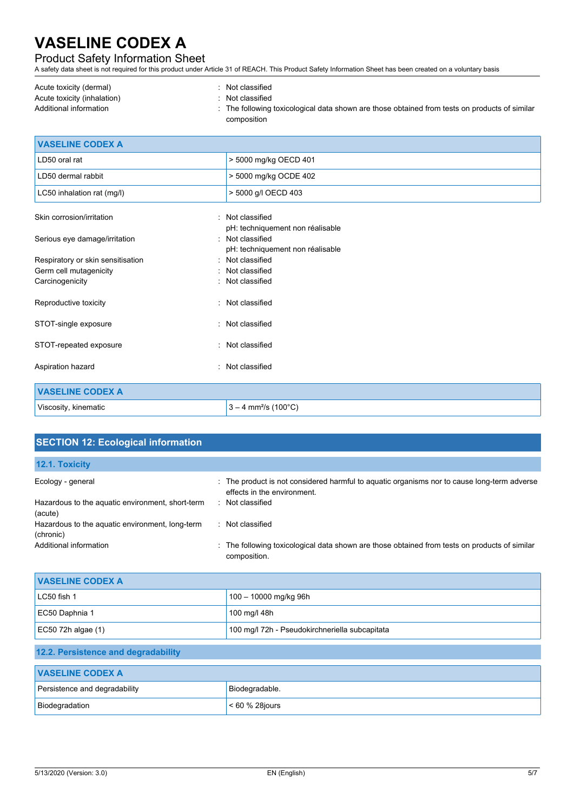## Product Safety Information Sheet

A safety data sheet is not required for this product under Article 31 of REACH. This Product Safety Information Sheet has been created on a voluntary basis

| Acute toxicity (dermal)     | Not classified                                                                                |
|-----------------------------|-----------------------------------------------------------------------------------------------|
| Acute toxicity (inhalation) | Not classified                                                                                |
| Additional information      | . The following toxicological data shown are those obtained from tests on products of similar |
|                             | composition                                                                                   |

| <b>VASELINE CODEX A</b>           |                                    |
|-----------------------------------|------------------------------------|
| LD50 oral rat                     | > 5000 mg/kg OECD 401              |
| LD50 dermal rabbit                | > 5000 mg/kg OCDE 402              |
| LC50 inhalation rat (mg/l)        | > 5000 g/l OECD 403                |
| Skin corrosion/irritation         | : Not classified                   |
|                                   | pH: techniquement non réalisable   |
| Serious eye damage/irritation     | : Not classified                   |
|                                   | pH: techniquement non réalisable   |
| Respiratory or skin sensitisation | : Not classified                   |
| Germ cell mutagenicity            | : Not classified                   |
| Carcinogenicity                   | : Not classified                   |
| Reproductive toxicity             | Not classified<br>٠                |
| STOT-single exposure              | : Not classified                   |
| STOT-repeated exposure            | Not classified<br>۰.               |
| Aspiration hazard                 | Not classified<br>٠                |
| <b>VASELINE CODEX A</b>           |                                    |
| Viscosity, kinematic              | $3 - 4$ mm <sup>2</sup> /s (100°C) |

| <b>SECTION 12: Ecological information</b>                    |                                                                                                                          |
|--------------------------------------------------------------|--------------------------------------------------------------------------------------------------------------------------|
| 12.1. Toxicity                                               |                                                                                                                          |
| Ecology - general                                            | The product is not considered harmful to aquatic organisms nor to cause long-term adverse<br>effects in the environment. |
| Hazardous to the aquatic environment, short-term<br>(acute)  | : Not classified                                                                                                         |
| Hazardous to the aquatic environment, long-term<br>(chronic) | : Not classified                                                                                                         |
| Additional information                                       | The following toxicological data shown are those obtained from tests on products of similar<br>composition.              |
| <b>VASELINE CODEX A</b>                                      |                                                                                                                          |
| LC50 fish 1                                                  | 100 - 10000 mg/kg 96h                                                                                                    |
| EC50 Daphnia 1                                               | 100 mg/l 48h                                                                                                             |
| EC50 72h algae (1)                                           | 100 mg/l 72h - Pseudokirchneriella subcapitata                                                                           |
| 12.2. Persistence and degradability                          |                                                                                                                          |
| <b><i>MACELINE CODEVA</i></b>                                |                                                                                                                          |

| <b>VASELINE CODEX A</b>       |                    |  |
|-------------------------------|--------------------|--|
| Persistence and degradability | Biodegradable.     |  |
| Biodegradation                | $< 60 \%$ 28 jours |  |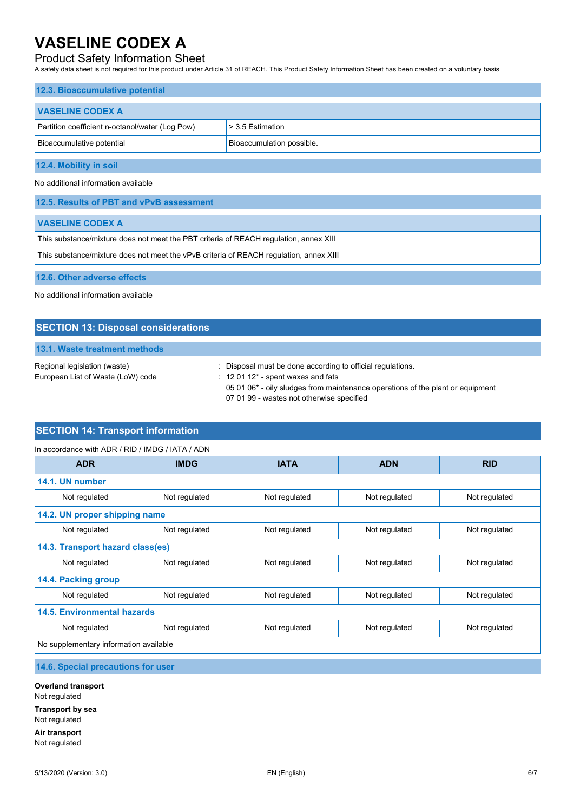## Product Safety Information Sheet

A safety data sheet is not required for this product under Article 31 of REACH. This Product Safety Information Sheet has been created on a voluntary basis

| 12.3. Bioaccumulative potential                 |                           |  |
|-------------------------------------------------|---------------------------|--|
| <b>VASELINE CODEX A</b>                         |                           |  |
| Partition coefficient n-octanol/water (Log Pow) | $>$ 3.5 Estimation        |  |
| Bioaccumulative potential                       | Bioaccumulation possible. |  |
| 12.4. Mobility in soil                          |                           |  |

No additional information available

**12.6. Other adverse effects**

No additional information available

## **SECTION 13: Disposal considerations**

## **13.1. Waste treatment methods**

| Regional legislation (waste)      | Disposal must be done according to official regulations.                       |
|-----------------------------------|--------------------------------------------------------------------------------|
| European List of Waste (LoW) code | $\therefore$ 12 01 12 <sup>*</sup> - spent waxes and fats                      |
|                                   | 05 01 06* - oily sludges from maintenance operations of the plant or equipment |
|                                   | 07 01 99 - wastes not otherwise specified                                      |

## **SECTION 14: Transport information**

| In accordance with ADR / RID / IMDG / IATA / ADN |  |
|--------------------------------------------------|--|
|                                                  |  |

| <b>ADR</b>                             | <b>IMDG</b>   | <b>IATA</b>   | <b>ADN</b>    | <b>RID</b>    |
|----------------------------------------|---------------|---------------|---------------|---------------|
| 14.1. UN number                        |               |               |               |               |
| Not regulated                          | Not regulated | Not regulated | Not regulated | Not regulated |
| 14.2. UN proper shipping name          |               |               |               |               |
| Not regulated                          | Not regulated | Not regulated | Not regulated | Not regulated |
| 14.3. Transport hazard class(es)       |               |               |               |               |
| Not regulated                          | Not regulated | Not regulated | Not regulated | Not regulated |
| 14.4. Packing group                    |               |               |               |               |
| Not regulated                          | Not regulated | Not regulated | Not regulated | Not regulated |
| <b>14.5. Environmental hazards</b>     |               |               |               |               |
| Not regulated                          | Not regulated | Not regulated | Not regulated | Not regulated |
| No supplementary information available |               |               |               |               |

**14.6. Special precautions for user**

**Overland transport** Not regulated **Transport by sea** Not regulated

**Air transport** Not regulated